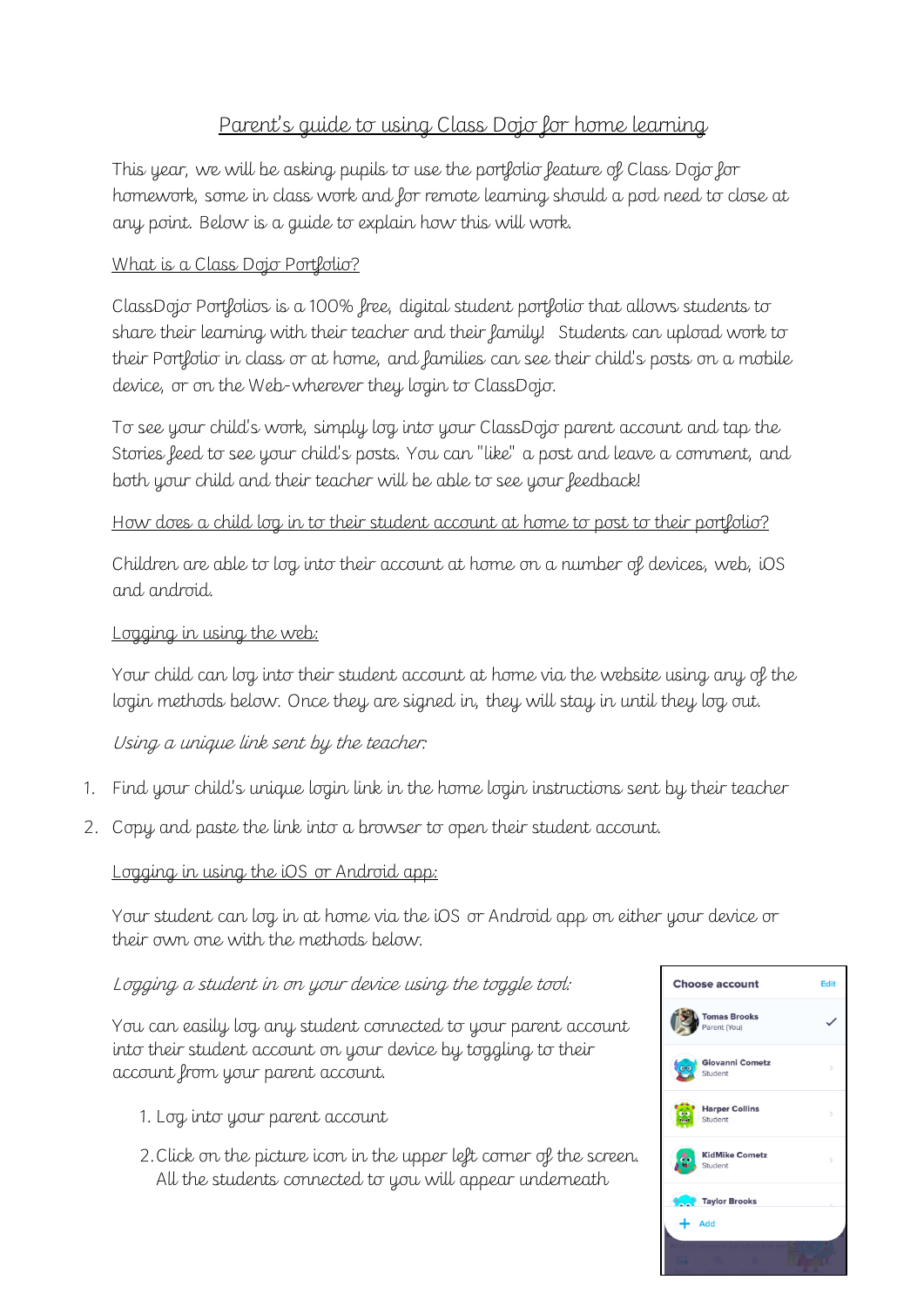# Parent's guide to using Class Dojo for home learning

This year, we will be asking pupils to use the portfolio feature of Class Dojo for homework, some in class work and for remote learning should a pod need to close at any point. Below is a guide to explain how this will work.

## What is a Class Dojo Portfolio?

ClassDojo Portfolios is a 100% free, digital student portfolio that allows students to share their learning with their teacher and their family! Students can upload work to their Portfolio [in class](https://classdojo.zendesk.com/hc/en-us/articles/115004688443-How-do-students-log-into-ClassDojo-to-upload-items-to-their-Portfolio-) or [at home,](https://classdojo.zendesk.com/hc/en-us/articles/360009869032-How-can-students-upload-Portfolio-posts-from-home-#web) and families can see their child's posts on a mobile device, or on the Web-wherever they login to ClassDojo.

To see your child's work, simply log into your ClassDojo parent account and tap the Stories feed to see your child's posts. You can "like" a post and leave a comment, and both your child and their teacher will be able to see your feedback!

#### How does a child log in to their student account at home to post to their portfolio?

Children are able to log into their account at home on a number of devices, web, iOS and android.

#### Logging in using the web:

Your child can log into their student account at home via the website using any of the login methods below. Once they are signed in, they will stay in until they log out.

### Using a unique link sent by the teacher:

- 1. Find your child's unique login link in the home login instructions sent by their teacher
- 2. Copy and paste the link into a browser to open their student account.

#### Logging in using the iOS or Android app:

Your student can log in at home via the iOS or Android app on either your device or their own one with the methods below.

#### Logging a student in on your device using the toggle tool:

You can easily log any student connected to your parent account into their student account on your device by toggling to their account from your parent account.

- 1. Log into your parent account
- 2.Click on the picture icon in the upper left corner of the screen. All the students connected to you will appear underneath

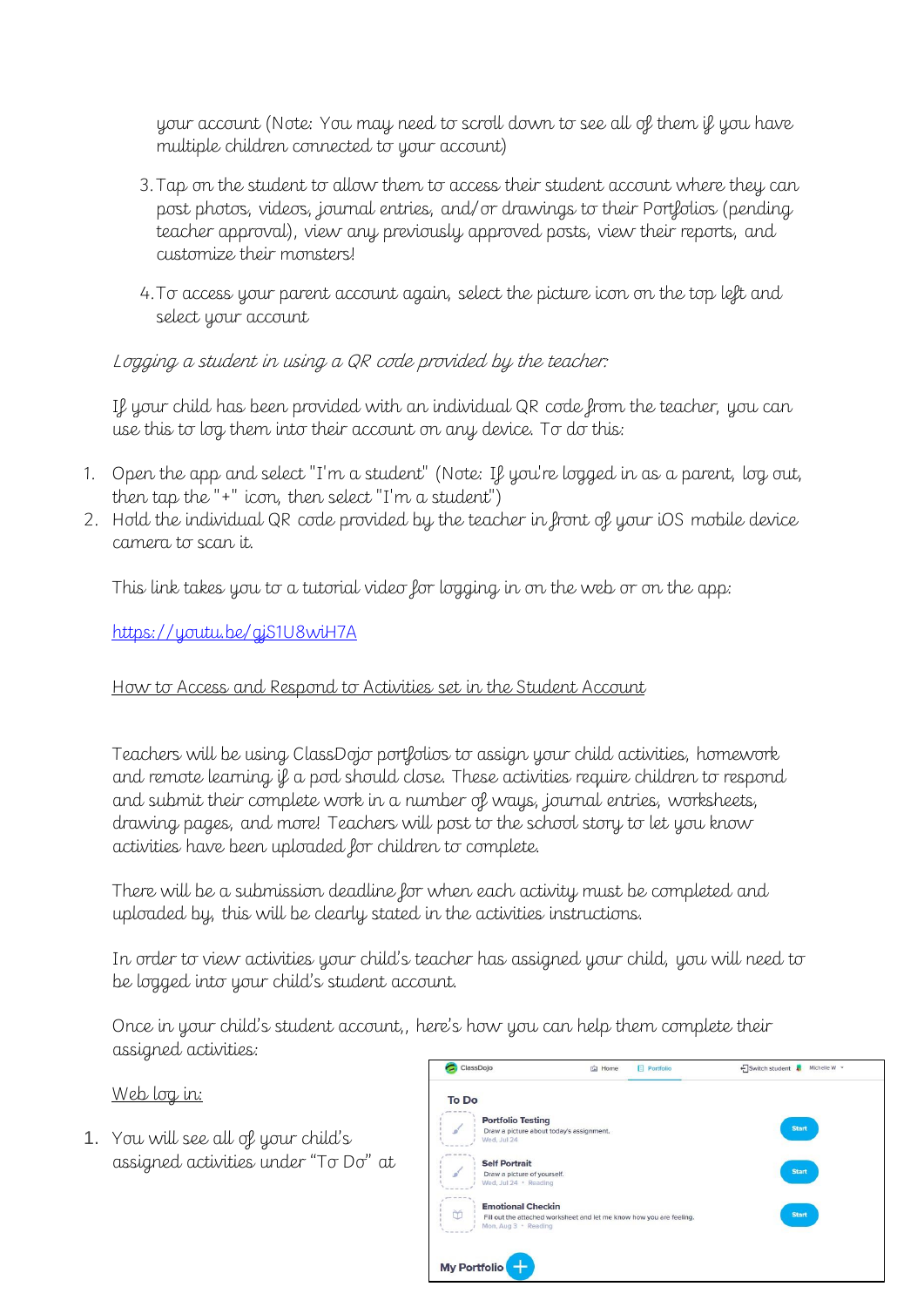your account (Note: You may need to scroll down to see all of them if you have multiple children connected to your account)

- 3.Tap on the student to allow them to access their student account where they can post photos, videos, journal entries, and/or drawings to their Portfolios (pending teacher approval), view any previously approved posts, view their reports, and customize their monsters!
- 4.To access your parent account again, select the picture icon on the top left and select your account

Logging a student in using a QR code provided by the teacher:

If your child has been provided with an individual QR code from the teacher, you can use this to log them into their account on any device. To do this:

- 1. Open the app and select "I'm a student" (Note: If you're logged in as a parent, log out, then tap the "+" icon, then select "I'm a student")
- 2. Hold the individual QR code provided by the teacher in front of your iOS mobile device camera to scan it.

This link takes you to a tutorial video for logging in on the web or on the app:

<https://youtu.be/gjS1U8wiH7A>

## How to Access and Respond to Activities set in the Student Account

Teachers will be using ClassDojo portfolios to assign your child activities, homework and remote learning if a pod should close. These activities require children to respond and submit their complete work in a number of ways, journal entries, worksheets, drawing pages, and more! Teachers will post to the school story to let you know activities have been uploaded for children to complete.

There will be a submission deadline for when each activity must be completed and uploaded by, this will be clearly stated in the activities instructions.

In order to view activities your child's teacher has assigned your child, you will need to be [logged into your child's student account](https://classdojo.zendesk.com/hc/en-us/articles/115004708883-How-Does-My-Child-Log-into-Their-Student-Account-at-Home-to-Post-to-Their-Portfolio-#web).

Once in your child's student account,, here's how you can help them complete their assigned activities:

#### Web log in:

1. You will see all of your child's assigned activities under "To Do" at

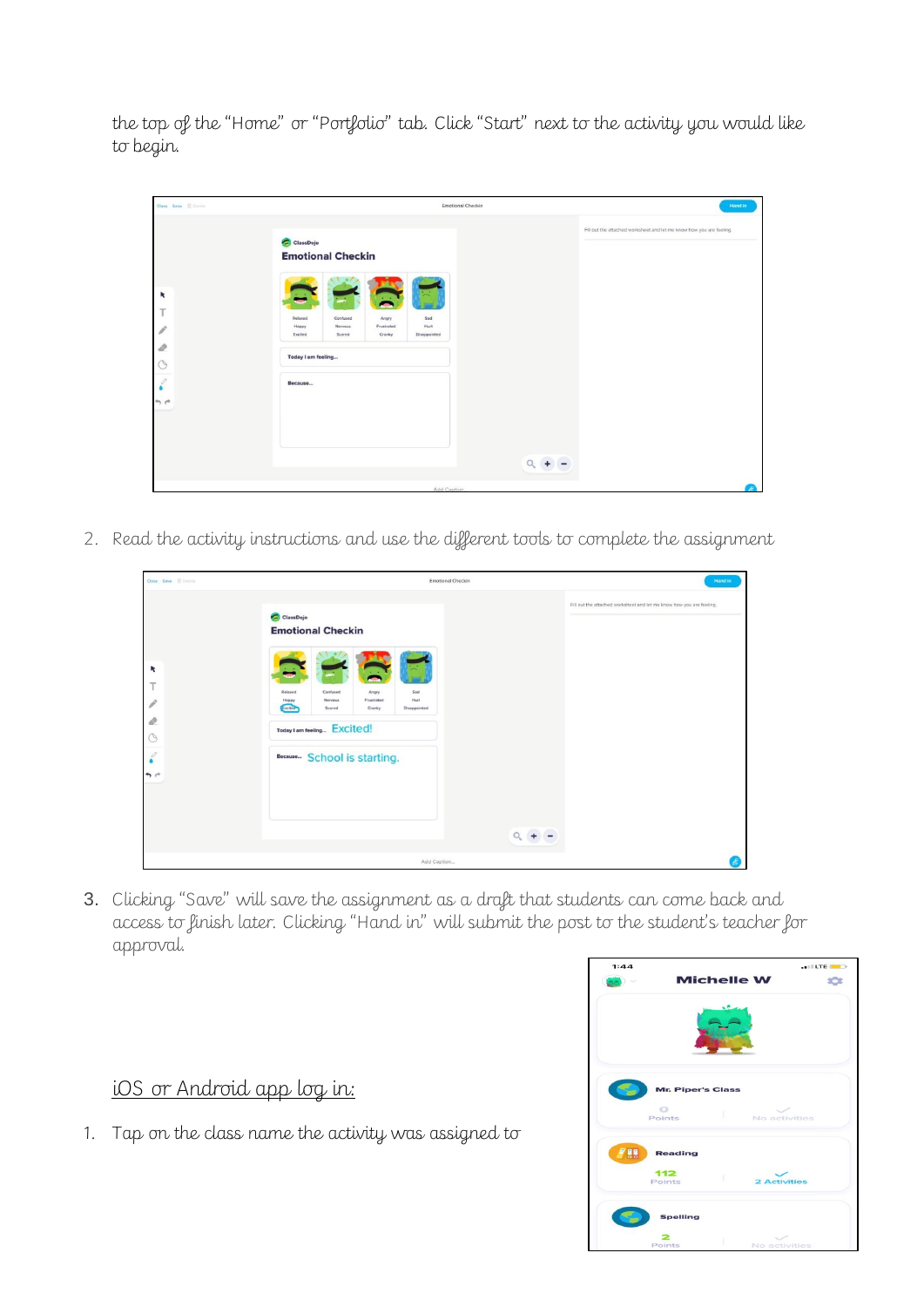the top of the "Home" or "Portfolio" tab. Click "Start" next to the activity you would like to begin.

| Close Save <b>III</b> Detete | Emotional Checkin                                                                                                            | Hand in                                                              |
|------------------------------|------------------------------------------------------------------------------------------------------------------------------|----------------------------------------------------------------------|
|                              | ClassDojo<br><b>Emotional Checkin</b>                                                                                        | Fill out the attached worksheet and let me know how you are feeling. |
|                              | Confused<br>Angry<br>Sad<br>Relaxed<br>Frustrated<br>Hurt<br>Happy<br>Nervous<br>Excited<br>Scared<br>Cranky<br>Disappointed |                                                                      |
|                              | Today I am feeling<br>Because                                                                                                |                                                                      |
| $m_{\rm e}$                  |                                                                                                                              |                                                                      |
|                              |                                                                                                                              |                                                                      |

2. Read the activity instructions and use the different tools to complete the assignment

| Close Save II Delete                     | Emotional Checkin                                                                                                                                 | Hand in                                                              |
|------------------------------------------|---------------------------------------------------------------------------------------------------------------------------------------------------|----------------------------------------------------------------------|
|                                          | ClassDojo<br><b>Emotional Checkin</b>                                                                                                             | Fill out the attached worksheet and let me know how you are feeling. |
| ĸ<br><b>Hara</b><br>$\mathcal{P}$        | Relaxed<br>Confused<br>Angry<br>Sad<br><b>Nervous</b><br>Frustrated<br>Hurt<br>Happy<br><b>Excited</b><br>Scared<br>Cranky<br><b>Disappointed</b> |                                                                      |
| D<br>$\circ$<br>$\mathcal{O}$<br>٠<br>5c | Today I am feeling Excited!<br>Because School is starting.                                                                                        |                                                                      |
|                                          |                                                                                                                                                   |                                                                      |

3. Clicking "Save" will save the assignment as a draft that students can come back and access to finish later. Clicking "Hand in" will submit the post to the student's teacher for approval.

# iOS or Android app log in:

1. Tap on the class name the activity was assigned to

| 1:44               |                          | <b>Michelle W</b> | and LTE (SIMIL)<br>× |
|--------------------|--------------------------|-------------------|----------------------|
|                    |                          |                   |                      |
|                    |                          |                   |                      |
|                    | <b>Mr. Piper's Class</b> |                   |                      |
|                    | Points                   | No activities     |                      |
| <b><i>F</i></b> 99 | <b>Reading</b>           |                   |                      |
|                    | 112<br>Points            | 2 Activities      |                      |
|                    | <b>Spelling</b>          |                   |                      |
|                    | Points                   | No activities     |                      |